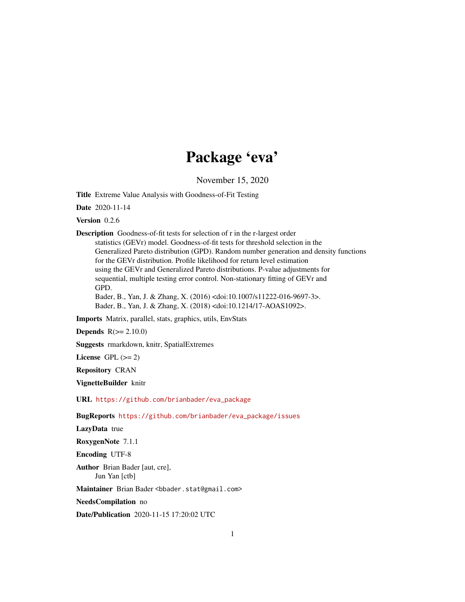# Package 'eva'

November 15, 2020

Title Extreme Value Analysis with Goodness-of-Fit Testing

Date 2020-11-14

Version 0.2.6

Description Goodness-of-fit tests for selection of r in the r-largest order statistics (GEVr) model. Goodness-of-fit tests for threshold selection in the Generalized Pareto distribution (GPD). Random number generation and density functions for the GEVr distribution. Profile likelihood for return level estimation using the GEVr and Generalized Pareto distributions. P-value adjustments for sequential, multiple testing error control. Non-stationary fitting of GEVr and GPD. Bader, B., Yan, J. & Zhang, X. (2016) <doi:10.1007/s11222-016-9697-3>. Bader, B., Yan, J. & Zhang, X. (2018) <doi:10.1214/17-AOAS1092>.

Imports Matrix, parallel, stats, graphics, utils, EnvStats

**Depends**  $R(>= 2.10.0)$ 

Suggests rmarkdown, knitr, SpatialExtremes

License GPL  $(>= 2)$ 

Repository CRAN

VignetteBuilder knitr

URL [https://github.com/brianbader/eva\\_package](https://github.com/brianbader/eva_package)

BugReports [https://github.com/brianbader/eva\\_package/issues](https://github.com/brianbader/eva_package/issues)

LazyData true

RoxygenNote 7.1.1

Encoding UTF-8

Author Brian Bader [aut, cre], Jun Yan [ctb]

Maintainer Brian Bader <bbader.stat@gmail.com>

NeedsCompilation no

Date/Publication 2020-11-15 17:20:02 UTC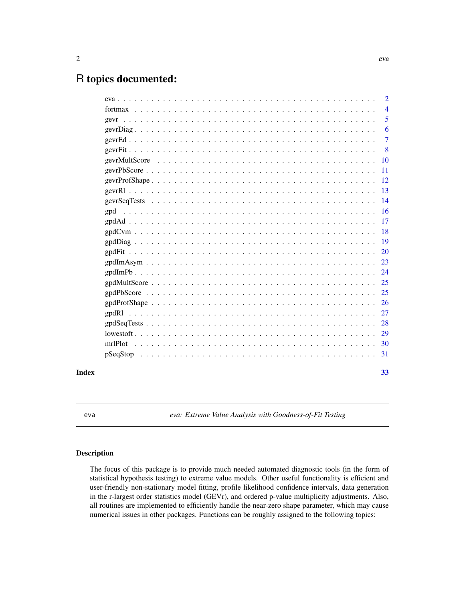# <span id="page-1-0"></span>R topics documented:

|       |  |  |  |  |  |  |  |  |  |  |  |  |  |  |  |  |  | $\overline{2}$ |
|-------|--|--|--|--|--|--|--|--|--|--|--|--|--|--|--|--|--|----------------|
|       |  |  |  |  |  |  |  |  |  |  |  |  |  |  |  |  |  | $\overline{4}$ |
|       |  |  |  |  |  |  |  |  |  |  |  |  |  |  |  |  |  | 5              |
|       |  |  |  |  |  |  |  |  |  |  |  |  |  |  |  |  |  | 6              |
|       |  |  |  |  |  |  |  |  |  |  |  |  |  |  |  |  |  | $\overline{7}$ |
|       |  |  |  |  |  |  |  |  |  |  |  |  |  |  |  |  |  | -8             |
|       |  |  |  |  |  |  |  |  |  |  |  |  |  |  |  |  |  |                |
|       |  |  |  |  |  |  |  |  |  |  |  |  |  |  |  |  |  |                |
|       |  |  |  |  |  |  |  |  |  |  |  |  |  |  |  |  |  |                |
|       |  |  |  |  |  |  |  |  |  |  |  |  |  |  |  |  |  |                |
|       |  |  |  |  |  |  |  |  |  |  |  |  |  |  |  |  |  |                |
|       |  |  |  |  |  |  |  |  |  |  |  |  |  |  |  |  |  |                |
|       |  |  |  |  |  |  |  |  |  |  |  |  |  |  |  |  |  |                |
|       |  |  |  |  |  |  |  |  |  |  |  |  |  |  |  |  |  |                |
|       |  |  |  |  |  |  |  |  |  |  |  |  |  |  |  |  |  |                |
|       |  |  |  |  |  |  |  |  |  |  |  |  |  |  |  |  |  |                |
|       |  |  |  |  |  |  |  |  |  |  |  |  |  |  |  |  |  |                |
|       |  |  |  |  |  |  |  |  |  |  |  |  |  |  |  |  |  |                |
|       |  |  |  |  |  |  |  |  |  |  |  |  |  |  |  |  |  |                |
|       |  |  |  |  |  |  |  |  |  |  |  |  |  |  |  |  |  | 25             |
|       |  |  |  |  |  |  |  |  |  |  |  |  |  |  |  |  |  |                |
|       |  |  |  |  |  |  |  |  |  |  |  |  |  |  |  |  |  |                |
|       |  |  |  |  |  |  |  |  |  |  |  |  |  |  |  |  |  |                |
|       |  |  |  |  |  |  |  |  |  |  |  |  |  |  |  |  |  |                |
|       |  |  |  |  |  |  |  |  |  |  |  |  |  |  |  |  |  |                |
|       |  |  |  |  |  |  |  |  |  |  |  |  |  |  |  |  |  |                |
| Index |  |  |  |  |  |  |  |  |  |  |  |  |  |  |  |  |  | 33             |

eva *eva: Extreme Value Analysis with Goodness-of-Fit Testing*

# Description

The focus of this package is to provide much needed automated diagnostic tools (in the form of statistical hypothesis testing) to extreme value models. Other useful functionality is efficient and user-friendly non-stationary model fitting, profile likelihood confidence intervals, data generation in the r-largest order statistics model (GEVr), and ordered p-value multiplicity adjustments. Also, all routines are implemented to efficiently handle the near-zero shape parameter, which may cause numerical issues in other packages. Functions can be roughly assigned to the following topics: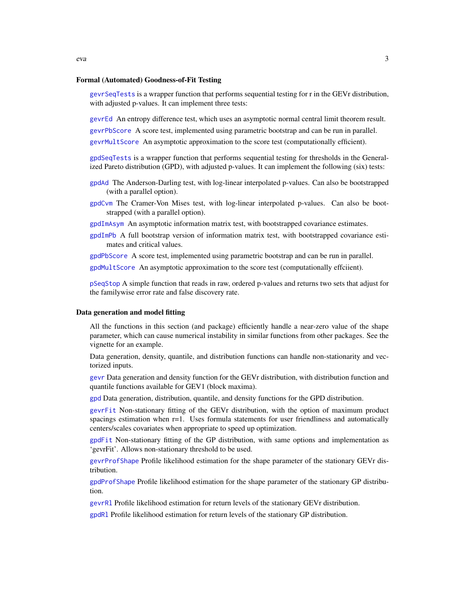#### <span id="page-2-0"></span>Formal (Automated) Goodness-of-Fit Testing

[gevrSeqTests](#page-13-1) is a wrapper function that performs sequential testing for r in the GEVr distribution, with adjusted p-values. It can implement three tests:

[gevrEd](#page-6-1) An entropy difference test, which uses an asymptotic normal central limit theorem result. [gevrPbScore](#page-10-1) A score test, implemented using parametric bootstrap and can be run in parallel. [gevrMultScore](#page-9-1) An asymptotic approximation to the score test (computationally efficient).

[gpdSeqTests](#page-27-1) is a wrapper function that performs sequential testing for thresholds in the Generalized Pareto distribution (GPD), with adjusted p-values. It can implement the following (six) tests:

- [gpdAd](#page-16-1) The Anderson-Darling test, with log-linear interpolated p-values. Can also be bootstrapped (with a parallel option).
- [gpdCvm](#page-17-1) The Cramer-Von Mises test, with log-linear interpolated p-values. Can also be bootstrapped (with a parallel option).
- [gpdImAsym](#page-22-1) An asymptotic information matrix test, with bootstrapped covariance estimates.
- [gpdImPb](#page-23-1) A full bootstrap version of information matrix test, with bootstrapped covariance estimates and critical values.

[gpdPbScore](#page-24-1) A score test, implemented using parametric bootstrap and can be run in parallel.

[gpdMultScore](#page-24-2) An asymptotic approximation to the score test (computationally effciient).

[pSeqStop](#page-30-1) A simple function that reads in raw, ordered p-values and returns two sets that adjust for the familywise error rate and false discovery rate.

#### Data generation and model fitting

All the functions in this section (and package) efficiently handle a near-zero value of the shape parameter, which can cause numerical instability in similar functions from other packages. See the vignette for an example.

Data generation, density, quantile, and distribution functions can handle non-stationarity and vectorized inputs.

[gevr](#page-4-1) Data generation and density function for the GEVr distribution, with distribution function and quantile functions available for GEV1 (block maxima).

[gpd](#page-15-1) Data generation, distribution, quantile, and density functions for the GPD distribution.

[gevrFit](#page-7-1) Non-stationary fitting of the GEVr distribution, with the option of maximum product spacings estimation when  $r=1$ . Uses formula statements for user friendliness and automatically centers/scales covariates when appropriate to speed up optimization.

[gpdFit](#page-19-1) Non-stationary fitting of the GP distribution, with same options and implementation as 'gevrFit'. Allows non-stationary threshold to be used.

[gevrProfShape](#page-11-1) Profile likelihood estimation for the shape parameter of the stationary GEVr distribution.

[gpdProfShape](#page-25-1) Profile likelihood estimation for the shape parameter of the stationary GP distribution.

[gevrRl](#page-12-1) Profile likelihood estimation for return levels of the stationary GEVr distribution.

[gpdRl](#page-26-1) Profile likelihood estimation for return levels of the stationary GP distribution.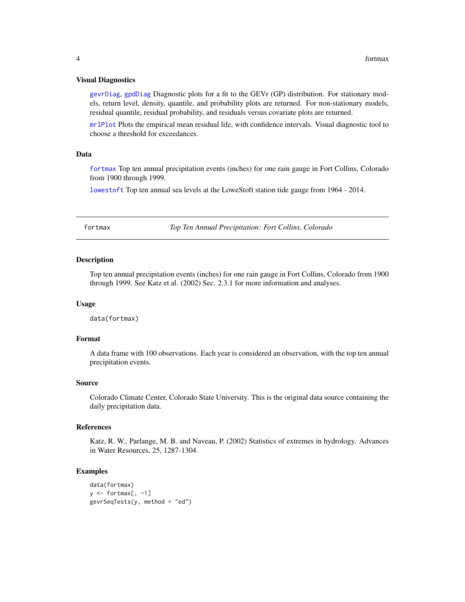#### <span id="page-3-0"></span>Visual Diagnostics

[gevrDiag](#page-5-1), [gpdDiag](#page-18-1) Diagnostic plots for a fit to the GEVr (GP) distribution. For stationary models, return level, density, quantile, and probability plots are returned. For non-stationary models, residual quantile, residual probability, and residuals versus covariate plots are returned.

[mrlPlot](#page-29-1) Plots the empirical mean residual life, with confidence intervals. Visual diagnostic tool to choose a threshold for exceedances.

#### Data

[fortmax](#page-3-1) Top ten annual precipitation events (inches) for one rain gauge in Fort Collins, Colorado from 1900 through 1999.

[lowestoft](#page-28-1) Top ten annual sea levels at the LoweStoft station tide gauge from 1964 - 2014.

<span id="page-3-1"></span>fortmax *Top Ten Annual Precipitation: Fort Collins, Colorado*

#### **Description**

Top ten annual precipitation events (inches) for one rain gauge in Fort Collins, Colorado from 1900 through 1999. See Katz et al. (2002) Sec. 2.3.1 for more information and analyses.

#### Usage

data(fortmax)

#### Format

A data frame with 100 observations. Each year is considered an observation, with the top ten annual precipitation events.

#### Source

Colorado Climate Center, Colorado State University. This is the original data source containing the daily precipitation data.

# References

Katz, R. W., Parlange, M. B. and Naveau, P. (2002) Statistics of extremes in hydrology. Advances in Water Resources, 25, 1287-1304.

```
data(fortmax)
y \leftarrow fortmax[, -1]
gevrSeqTests(y, method = "ed")
```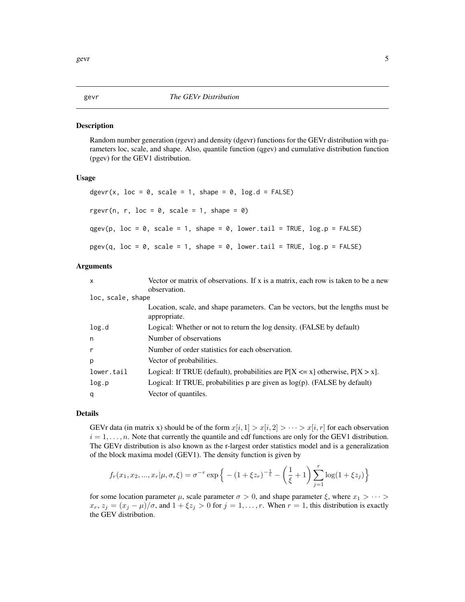#### <span id="page-4-1"></span><span id="page-4-0"></span>Description

Random number generation (rgevr) and density (dgevr) functions for the GEVr distribution with parameters loc, scale, and shape. Also, quantile function (qgev) and cumulative distribution function (pgev) for the GEV1 distribution.

# Usage

```
dgevr(x, loc = 0, scale = 1, shape = 0, log.d = FALSE)
rgevr(n, r, loc = 0, scale = 1, shape = 0)
qgev(p, loc = 0, scale = 1, shape = 0, lower.tail = TRUE, log.p = FALSE)
pgev(q, loc = 0, scale = 1, shape = 0, lowertail = TRUE, <math>log.p = FALSE)
```
#### Arguments

| $\mathsf{x}$      | Vector or matrix of observations. If x is a matrix, each row is taken to be a new              |
|-------------------|------------------------------------------------------------------------------------------------|
|                   | observation.                                                                                   |
| loc, scale, shape |                                                                                                |
|                   | Location, scale, and shape parameters. Can be vectors, but the lengths must be<br>appropriate. |
| log.d             | Logical: Whether or not to return the log density. (FALSE by default)                          |
| n                 | Number of observations                                                                         |
| $\mathsf{r}$      | Number of order statistics for each observation.                                               |
| p                 | Vector of probabilities.                                                                       |
| lower.tail        | Logical: If TRUE (default), probabilities are $P[X \le x]$ otherwise, $P[X > x]$ .             |
| log.p             | Logical: If TRUE, probabilities $p$ are given as $log(p)$ . (FALSE by default)                 |
| q                 | Vector of quantiles.                                                                           |
|                   |                                                                                                |

# Details

GEVr data (in matrix x) should be of the form  $x[i, 1] > x[i, 2] > \cdots > x[i, r]$  for each observation  $i = 1, \ldots, n$ . Note that currently the quantile and cdf functions are only for the GEV1 distribution. The GEVr distribution is also known as the r-largest order statistics model and is a generalization of the block maxima model (GEV1). The density function is given by

$$
f_r(x_1, x_2, ..., x_r | \mu, \sigma, \xi) = \sigma^{-r} \exp \left\{ - (1 + \xi z_r)^{-\frac{1}{\xi}} - \left(\frac{1}{\xi} + 1\right) \sum_{j=1}^r \log(1 + \xi z_j) \right\}
$$

for some location parameter  $\mu$ , scale parameter  $\sigma > 0$ , and shape parameter  $\xi$ , where  $x_1 > \cdots >$  $x_r, z_j = (x_j - \mu)/\sigma$ , and  $1 + \xi z_j > 0$  for  $j = 1, \ldots, r$ . When  $r = 1$ , this distribution is exactly the GEV distribution.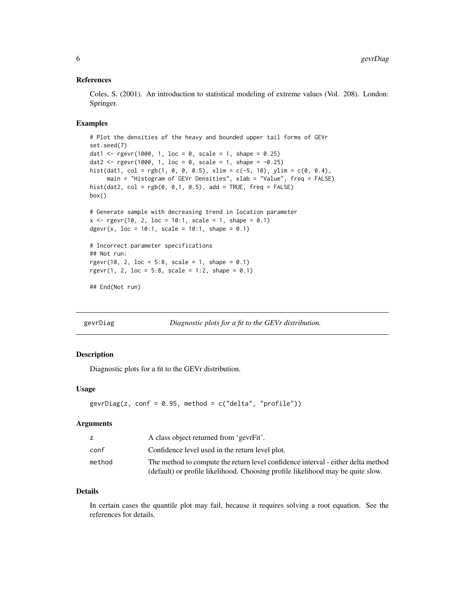# <span id="page-5-0"></span>References

Coles, S. (2001). An introduction to statistical modeling of extreme values (Vol. 208). London: Springer.

#### Examples

```
# Plot the densities of the heavy and bounded upper tail forms of GEVr
set.seed(7)
dat1 <- rgevr(1000, 1, loc = 0, scale = 1, shape = 0.25)
dat2 <- rgevr(1000, 1, loc = 0, scale = 1, shape = -0.25)
hist(dat1, col = rgb(1, 0, 0, 0.5), xlim = c(-5, 10), ylim = c(0, 0.4),
     main = "Histogram of GEVr Densities", xlab = "Value", freq = FALSE)
hist(dat2, col = rgb(0, 0, 1, 0.5), add = TRUE, freq = FALSE)
box()
# Generate sample with decreasing trend in location parameter
x \leq - rgevr(10, 2, loc = 10:1, scale = 1, shape = 0.1)
dgevr(x, loc = 10:1, scale = 10:1, shape = 0.1)
# Incorrect parameter specifications
## Not run:
rgevr(10, 2, loc = 5:8, scale = 1, shape = 0.1)
rgevr(1, 2, loc = 5:8, scale = 1:2, shape = 0.1)
## End(Not run)
```
<span id="page-5-1"></span>gevrDiag *Diagnostic plots for a fit to the GEVr distribution.*

# Description

Diagnostic plots for a fit to the GEVr distribution.

#### Usage

```
gevrDiag(z, conf = 0.95, method = c("delta", "profile"))
```
#### Arguments

|        | A class object returned from 'gevrFit'.                                                                                                                             |
|--------|---------------------------------------------------------------------------------------------------------------------------------------------------------------------|
| conf   | Confidence level used in the return level plot.                                                                                                                     |
| method | The method to compute the return level confidence interval - either delta method<br>(default) or profile likelihood. Choosing profile likelihood may be quite slow. |

#### Details

In certain cases the quantile plot may fail, because it requires solving a root equation. See the references for details.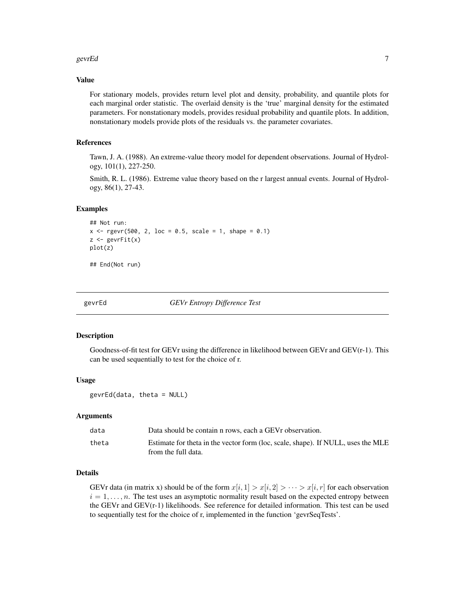#### <span id="page-6-0"></span> $gev$ FEd $\qquad \qquad$

#### Value

For stationary models, provides return level plot and density, probability, and quantile plots for each marginal order statistic. The overlaid density is the 'true' marginal density for the estimated parameters. For nonstationary models, provides residual probability and quantile plots. In addition, nonstationary models provide plots of the residuals vs. the parameter covariates.

# References

Tawn, J. A. (1988). An extreme-value theory model for dependent observations. Journal of Hydrology, 101(1), 227-250.

Smith, R. L. (1986). Extreme value theory based on the r largest annual events. Journal of Hydrology, 86(1), 27-43.

# Examples

```
## Not run:
x \leq - rgevr(500, 2, loc = 0.5, scale = 1, shape = 0.1)
z \le gevrFit(x)
plot(z)
## End(Not run)
```
<span id="page-6-1"></span>

gevrEd *GEVr Entropy Difference Test*

#### Description

Goodness-of-fit test for GEVr using the difference in likelihood between GEVr and GEV(r-1). This can be used sequentially to test for the choice of r.

# Usage

gevrEd(data, theta = NULL)

#### Arguments

| data  | Data should be contain n rows, each a GEV robservation.                          |
|-------|----------------------------------------------------------------------------------|
| theta | Estimate for theta in the vector form (loc, scale, shape). If NULL, uses the MLE |
|       | from the full data.                                                              |

# Details

GEVr data (in matrix x) should be of the form  $x[i, 1] > x[i, 2] > \cdots > x[i, r]$  for each observation  $i = 1, \ldots, n$ . The test uses an asymptotic normality result based on the expected entropy between the GEVr and GEV(r-1) likelihoods. See reference for detailed information. This test can be used to sequentially test for the choice of r, implemented in the function 'gevrSeqTests'.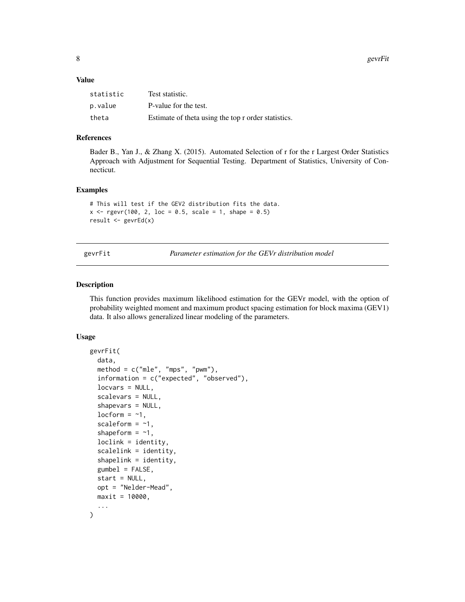<span id="page-7-0"></span>8 gevrFit

#### Value

| statistic | Test statistic.                                     |
|-----------|-----------------------------------------------------|
| p.value   | P-value for the test.                               |
| theta     | Estimate of theta using the top r order statistics. |

# References

Bader B., Yan J., & Zhang X. (2015). Automated Selection of r for the r Largest Order Statistics Approach with Adjustment for Sequential Testing. Department of Statistics, University of Connecticut.

#### Examples

```
# This will test if the GEV2 distribution fits the data.
x \leq - rgevr(100, 2, loc = 0.5, scale = 1, shape = 0.5)
result <- gevrEd(x)
```
<span id="page-7-1"></span>gevrFit *Parameter estimation for the GEVr distribution model*

#### Description

This function provides maximum likelihood estimation for the GEVr model, with the option of probability weighted moment and maximum product spacing estimation for block maxima (GEV1) data. It also allows generalized linear modeling of the parameters.

```
gevrFit(
  data,
  method = c("mle", "mps", "pwm"),information = c("expected", "observed"),
  locvars = NULL,
  scalevars = NULL,
  shapevars = NULL,
  locform = -1,
  scaleform = -1,
  shapeform = -1,
  loclink = identity,
  scalelink = identity,
  shapelink = identity,
  gumbel = FALSE,
  start = NULL,
  opt = "Nelder-Mead",
  maxit = 10000,...
)
```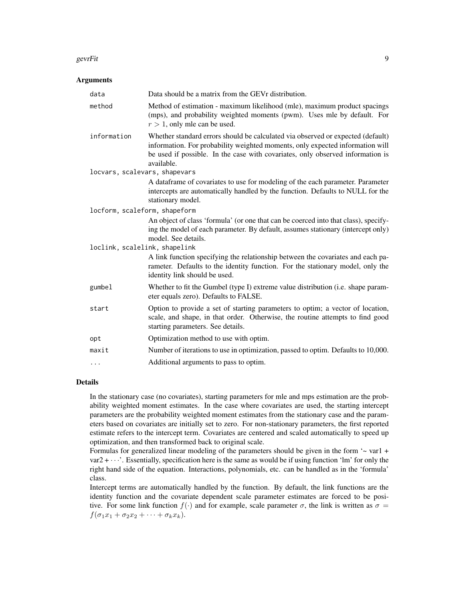#### gevrFit 99 and 2012 12:00 the set of the set of the set of the set of the set of the set of the set of the set

#### **Arguments**

| data                          | Data should be a matrix from the GEV r distribution.                                                                                                                                                                                                             |
|-------------------------------|------------------------------------------------------------------------------------------------------------------------------------------------------------------------------------------------------------------------------------------------------------------|
| method                        | Method of estimation - maximum likelihood (mle), maximum product spacings<br>(mps), and probability weighted moments (pwm). Uses mle by default. For<br>$r > 1$ , only mle can be used.                                                                          |
| information                   | Whether standard errors should be calculated via observed or expected (default)<br>information. For probability weighted moments, only expected information will<br>be used if possible. In the case with covariates, only observed information is<br>available. |
| locvars, scalevars, shapevars |                                                                                                                                                                                                                                                                  |
|                               | A dataframe of covariates to use for modeling of the each parameter. Parameter<br>intercepts are automatically handled by the function. Defaults to NULL for the<br>stationary model.                                                                            |
| locform, scaleform, shapeform |                                                                                                                                                                                                                                                                  |
|                               | An object of class 'formula' (or one that can be coerced into that class), specify-<br>ing the model of each parameter. By default, assumes stationary (intercept only)<br>model. See details.                                                                   |
| loclink, scalelink, shapelink |                                                                                                                                                                                                                                                                  |
|                               | A link function specifying the relationship between the covariates and each pa-<br>rameter. Defaults to the identity function. For the stationary model, only the<br>identity link should be used.                                                               |
| gumbel                        | Whether to fit the Gumbel (type I) extreme value distribution (i.e. shape param-<br>eter equals zero). Defaults to FALSE.                                                                                                                                        |
| start                         | Option to provide a set of starting parameters to optim; a vector of location,<br>scale, and shape, in that order. Otherwise, the routine attempts to find good<br>starting parameters. See details.                                                             |
| opt                           | Optimization method to use with optim.                                                                                                                                                                                                                           |
| maxit                         | Number of iterations to use in optimization, passed to optim. Defaults to 10,000.                                                                                                                                                                                |
| .                             | Additional arguments to pass to optim.                                                                                                                                                                                                                           |
|                               |                                                                                                                                                                                                                                                                  |

# Details

In the stationary case (no covariates), starting parameters for mle and mps estimation are the probability weighted moment estimates. In the case where covariates are used, the starting intercept parameters are the probability weighted moment estimates from the stationary case and the parameters based on covariates are initially set to zero. For non-stationary parameters, the first reported estimate refers to the intercept term. Covariates are centered and scaled automatically to speed up optimization, and then transformed back to original scale.

Formulas for generalized linear modeling of the parameters should be given in the form  $\sim$  var1 +  $var2 + \cdots$ . Essentially, specification here is the same as would be if using function 'lm' for only the right hand side of the equation. Interactions, polynomials, etc. can be handled as in the 'formula' class.

Intercept terms are automatically handled by the function. By default, the link functions are the identity function and the covariate dependent scale parameter estimates are forced to be positive. For some link function  $f(.)$  and for example, scale parameter  $\sigma$ , the link is written as  $\sigma =$  $f(\sigma_1x_1 + \sigma_2x_2 + \cdots + \sigma_kx_k).$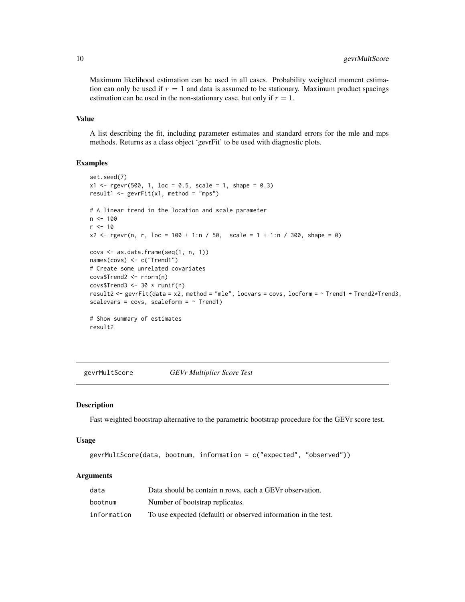Maximum likelihood estimation can be used in all cases. Probability weighted moment estimation can only be used if  $r = 1$  and data is assumed to be stationary. Maximum product spacings estimation can be used in the non-stationary case, but only if  $r = 1$ .

#### Value

A list describing the fit, including parameter estimates and standard errors for the mle and mps methods. Returns as a class object 'gevrFit' to be used with diagnostic plots.

# Examples

```
set.seed(7)
x1 \leq rgevr(500, 1, loc = 0.5, scale = 1, shape = 0.3)
result1 <- gevrFit(x1, method = "mps")# A linear trend in the location and scale parameter
n < -100r <- 10
x2 \le rgevr(n, r, loc = 100 + 1:n / 50, scale = 1 + 1:n / 300, shape = 0)
covs <- as.data.frame(seq(1, n, 1))
names(covs) <- c("Trend1")
# Create some unrelated covariates
covs$Trend2 <- rnorm(n)
covs$Trend3 <- 30 * runif(n)result2 <- gevrFit(data = x2, method = "mle", locvars = covs, locform = ~ Trend1 + Trend2*Trend3,
scalevars = covs, scaleform = \sim Trend1)
# Show summary of estimates
result2
```
<span id="page-9-1"></span>gevrMultScore *GEVr Multiplier Score Test*

# **Description**

Fast weighted bootstrap alternative to the parametric bootstrap procedure for the GEVr score test.

#### Usage

```
gevrMultScore(data, bootnum, information = c("expected", "observed"))
```

| data        | Data should be contain n rows, each a GEV r observation.       |
|-------------|----------------------------------------------------------------|
| bootnum     | Number of bootstrap replicates.                                |
| information | To use expected (default) or observed information in the test. |

<span id="page-9-0"></span>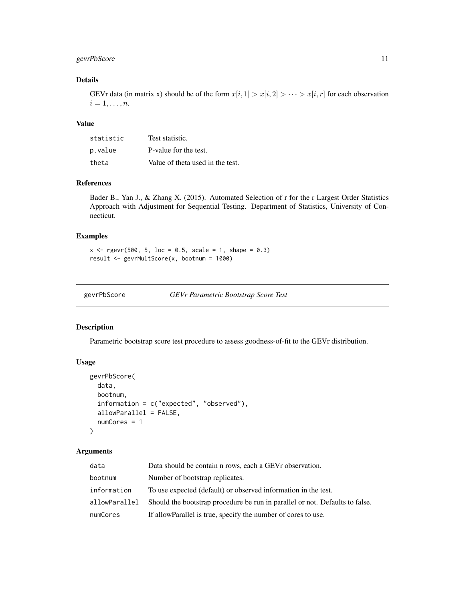# <span id="page-10-0"></span>gevrPbScore 11

# Details

GEVr data (in matrix x) should be of the form  $x[i, 1] > x[i, 2] > \cdots > x[i, r]$  for each observation  $i=1,\ldots,n.$ 

# Value

| statistic | Test statistic.                  |
|-----------|----------------------------------|
| p.value   | P-value for the test.            |
| theta     | Value of theta used in the test. |

# References

Bader B., Yan J., & Zhang X. (2015). Automated Selection of r for the r Largest Order Statistics Approach with Adjustment for Sequential Testing. Department of Statistics, University of Connecticut.

#### Examples

```
x \leq - rgevr(500, 5, loc = 0.5, scale = 1, shape = 0.3)
result <- gevrMultScore(x, bootnum = 1000)
```
<span id="page-10-1"></span>

gevrPbScore *GEVr Parametric Bootstrap Score Test*

# Description

Parametric bootstrap score test procedure to assess goodness-of-fit to the GEVr distribution.

# Usage

```
gevrPbScore(
  data,
 bootnum,
  information = c("expected", "observed"),
  allowParallel = FALSE,
  numCores = 1
)
```

| data          | Data should be contain n rows, each a GEV r observation.                     |
|---------------|------------------------------------------------------------------------------|
| bootnum       | Number of bootstrap replicates.                                              |
| information   | To use expected (default) or observed information in the test.               |
| allowParallel | Should the bootstrap procedure be run in parallel or not. Defaults to false. |
| numCores      | If allow Parallel is true, specify the number of cores to use.               |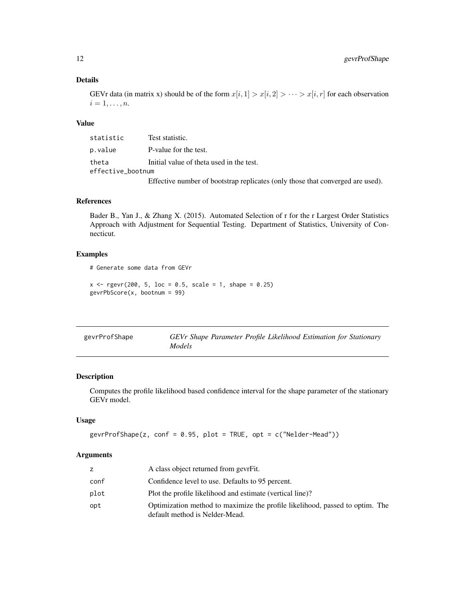# Details

GEVr data (in matrix x) should be of the form  $x[i, 1] > x[i, 2] > \cdots > x[i, r]$  for each observation  $i=1,\ldots,n.$ 

# Value

| statistic         | Test statistic.                                                                |
|-------------------|--------------------------------------------------------------------------------|
| p.value           | P-value for the test.                                                          |
| theta             | Initial value of theta used in the test.                                       |
| effective_bootnum |                                                                                |
|                   | Effective number of bootstrap replicates (only those that converged are used). |

# References

Bader B., Yan J., & Zhang X. (2015). Automated Selection of r for the r Largest Order Statistics Approach with Adjustment for Sequential Testing. Department of Statistics, University of Connecticut.

# Examples

```
# Generate some data from GEVr
```

```
x \le - rgevr(200, 5, loc = 0.5, scale = 1, shape = 0.25)
gevrPbScore(x, bootnum = 99)
```
<span id="page-11-1"></span>

| gevrProfShape | GEVr Shape Parameter Profile Likelihood Estimation for Stationary |
|---------------|-------------------------------------------------------------------|
|               | <i>Models</i>                                                     |

# Description

Computes the profile likelihood based confidence interval for the shape parameter of the stationary GEVr model.

#### Usage

```
gevrProfShape(z, conf = 0.95, plot = TRUE, opt = c("Nelder-Mead"))
```

|      | A class object returned from gevrFit.                                                                          |
|------|----------------------------------------------------------------------------------------------------------------|
| conf | Confidence level to use. Defaults to 95 percent.                                                               |
| plot | Plot the profile likelihood and estimate (vertical line)?                                                      |
| opt  | Optimization method to maximize the profile likelihood, passed to optim. The<br>default method is Nelder-Mead. |

<span id="page-11-0"></span>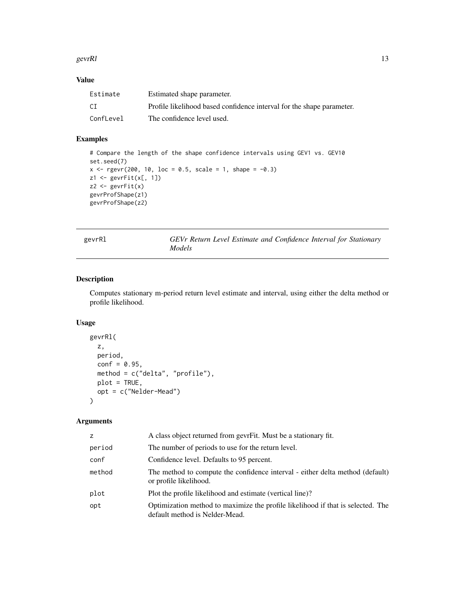#### <span id="page-12-0"></span>gevr $R$ l 13

# Value

| Estimate  | Estimated shape parameter.                                            |
|-----------|-----------------------------------------------------------------------|
| CI        | Profile likelihood based confidence interval for the shape parameter. |
| ConfLevel | The confidence level used.                                            |

# Examples

```
# Compare the length of the shape confidence intervals using GEV1 vs. GEV10
set.seed(7)
x \leq - rgevr(200, 10, loc = 0.5, scale = 1, shape = -0.3)
z1 \leftarrow \text{gev}Fit(x[, 1])
z2 \leftarrow \text{gevrFit}(x)gevrProfShape(z1)
gevrProfShape(z2)
```
<span id="page-12-1"></span>gevrRl *GEVr Return Level Estimate and Confidence Interval for Stationary Models*

# Description

Computes stationary m-period return level estimate and interval, using either the delta method or profile likelihood.

# Usage

```
gevrRl(
  z,
  period,
  conf = 0.95,method = c("delta", "profile"),
  plot = TRUE,
  opt = c("Nelder-Mead")
\mathcal{L}
```

| Z.     | A class object returned from gevrFit. Must be a stationary fit.                                                   |
|--------|-------------------------------------------------------------------------------------------------------------------|
| period | The number of periods to use for the return level.                                                                |
| conf   | Confidence level. Defaults to 95 percent.                                                                         |
| method | The method to compute the confidence interval - either delta method (default)<br>or profile likelihood.           |
| plot   | Plot the profile likelihood and estimate (vertical line)?                                                         |
| opt    | Optimization method to maximize the profile likelihood if that is selected. The<br>default method is Nelder-Mead. |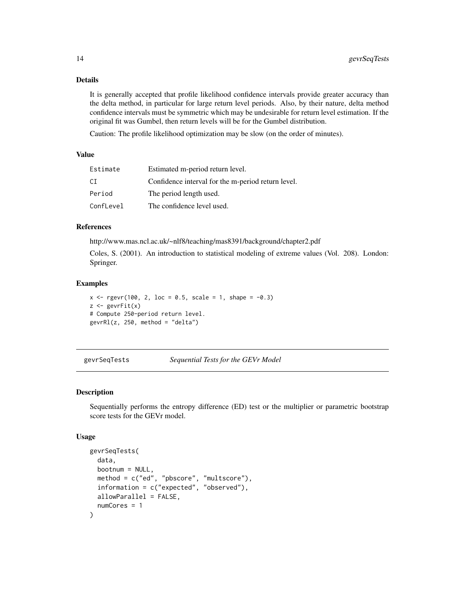# Details

It is generally accepted that profile likelihood confidence intervals provide greater accuracy than the delta method, in particular for large return level periods. Also, by their nature, delta method confidence intervals must be symmetric which may be undesirable for return level estimation. If the original fit was Gumbel, then return levels will be for the Gumbel distribution.

Caution: The profile likelihood optimization may be slow (on the order of minutes).

# Value

| Estimate  | Estimated m-period return level.                   |
|-----------|----------------------------------------------------|
| CT.       | Confidence interval for the m-period return level. |
| Period    | The period length used.                            |
| ConfLevel | The confidence level used.                         |

#### References

http://www.mas.ncl.ac.uk/~nlf8/teaching/mas8391/background/chapter2.pdf

Coles, S. (2001). An introduction to statistical modeling of extreme values (Vol. 208). London: Springer.

#### Examples

```
x \leq - rgevr(100, 2, loc = 0.5, scale = 1, shape = -0.3)
z \le gevrFit(x)
# Compute 250-period return level.
gevrRl(z, 250, method = "delta")
```
<span id="page-13-1"></span>gevrSeqTests *Sequential Tests for the GEVr Model*

# Description

Sequentially performs the entropy difference (ED) test or the multiplier or parametric bootstrap score tests for the GEVr model.

```
gevrSeqTests(
  data,
 bootnum = NULL,method = c("ed", "pbscore", "multscore"),
  information = c("expected", "observed"),
  allowParallel = FALSE,
  numCores = 1
)
```
<span id="page-13-0"></span>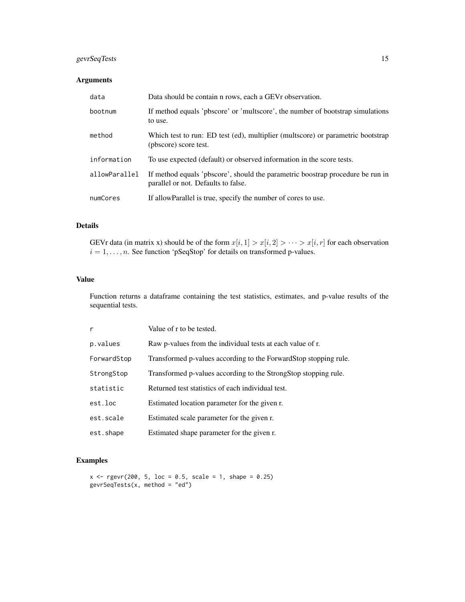# gevrSeqTests 15

# Arguments

| data          | Data should be contain n rows, each a GEV r observation.                                                              |
|---------------|-----------------------------------------------------------------------------------------------------------------------|
| bootnum       | If method equals 'pbscore' or 'multscore', the number of bootstrap simulations<br>to use.                             |
| method        | Which test to run: ED test (ed), multiplier (multscore) or parametric bootstrap<br>(pbscore) score test.              |
| information   | To use expected (default) or observed information in the score tests.                                                 |
| allowParallel | If method equals 'pbscore', should the parametric boostrap procedure be run in<br>parallel or not. Defaults to false. |
| numCores      | If allow Parallel is true, specify the number of cores to use.                                                        |

# Details

GEVr data (in matrix x) should be of the form  $x[i, 1] > x[i, 2] > \cdots > x[i, r]$  for each observation  $i = 1, \ldots, n$ . See function 'pSeqStop' for details on transformed p-values.

# Value

Function returns a dataframe containing the test statistics, estimates, and p-value results of the sequential tests.

| r           | Value of r to be tested.                                         |
|-------------|------------------------------------------------------------------|
| p.values    | Raw p-values from the individual tests at each value of r.       |
| ForwardStop | Transformed p-values according to the ForwardStop stopping rule. |
| StrongStop  | Transformed p-values according to the StrongStop stopping rule.  |
| statistic   | Returned test statistics of each individual test.                |
| est.loc     | Estimated location parameter for the given r.                    |
| est.scale   | Estimated scale parameter for the given r.                       |
| est.shape   | Estimated shape parameter for the given r.                       |

```
x \leq - rgevr(200, 5, loc = 0.5, scale = 1, shape = 0.25)
gevrSeqTests(x, method = "ed")
```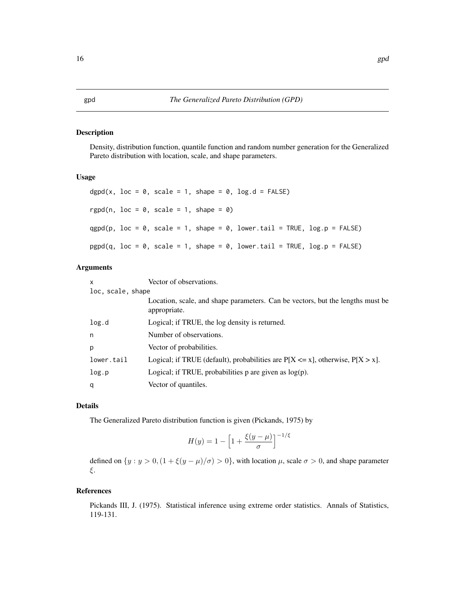# Description

Density, distribution function, quantile function and random number generation for the Generalized Pareto distribution with location, scale, and shape parameters.

# Usage

dgpd(x,  $loc = 0$ , scale = 1, shape = 0,  $log.d = FALSE$ ) rgpd(n,  $loc = 0$ , scale = 1, shape = 0)  $qgpd(p, loc = 0, scale = 1, shape = 0, lower$  $tail = TRUE,  $log.p = FALSE$ )$  $pgpd(q, loc = 0, scale = 1, shape = 0, lower$ **tail = TRUE,** $$log.p = FALSE)$$ 

# Arguments

| X                 | Vector of observations.                                                                        |  |
|-------------------|------------------------------------------------------------------------------------------------|--|
| loc, scale, shape |                                                                                                |  |
|                   | Location, scale, and shape parameters. Can be vectors, but the lengths must be<br>appropriate. |  |
| log.d             | Logical; if TRUE, the log density is returned.                                                 |  |
| n                 | Number of observations.                                                                        |  |
| p                 | Vector of probabilities.                                                                       |  |
| lower.tail        | Logical; if TRUE (default), probabilities are $P[X \le x]$ , otherwise, $P[X > x]$ .           |  |
| log.p             | Logical; if TRUE, probabilities $p$ are given as $log(p)$ .                                    |  |
| q                 | Vector of quantiles.                                                                           |  |

# Details

The Generalized Pareto distribution function is given (Pickands, 1975) by

$$
H(y) = 1 - \left[1 + \frac{\xi(y - \mu)}{\sigma}\right]^{-1/\xi}
$$

defined on  $\{y : y > 0, (1 + \xi(y - \mu)/\sigma) > 0\}$ , with location  $\mu$ , scale  $\sigma > 0$ , and shape parameter ξ.

#### References

Pickands III, J. (1975). Statistical inference using extreme order statistics. Annals of Statistics, 119-131.

# <span id="page-15-1"></span><span id="page-15-0"></span>16 gpd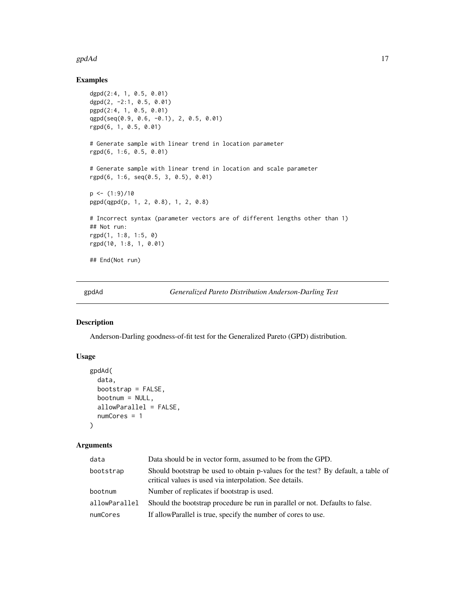#### <span id="page-16-0"></span> $\mathsf{gpdAd}$  17

# Examples

```
dgpd(2:4, 1, 0.5, 0.01)
dgpd(2, -2:1, 0.5, 0.01)
pgpd(2:4, 1, 0.5, 0.01)
qgpd(seq(0.9, 0.6, -0.1), 2, 0.5, 0.01)
rgpd(6, 1, 0.5, 0.01)
# Generate sample with linear trend in location parameter
rgpd(6, 1:6, 0.5, 0.01)
# Generate sample with linear trend in location and scale parameter
rgpd(6, 1:6, seq(0.5, 3, 0.5), 0.01)
p \leftarrow (1:9)/10pgpd(qgpd(p, 1, 2, 0.8), 1, 2, 0.8)
# Incorrect syntax (parameter vectors are of different lengths other than 1)
## Not run:
rgpd(1, 1:8, 1:5, 0)
rgpd(10, 1:8, 1, 0.01)
## End(Not run)
```
<span id="page-16-1"></span>gpdAd *Generalized Pareto Distribution Anderson-Darling Test*

#### Description

Anderson-Darling goodness-of-fit test for the Generalized Pareto (GPD) distribution.

#### Usage

```
gpdAd(
  data,
  bootstrap = FALSE,
  bootnum = NULL,
  allowParallel = FALSE,
  numCores = 1
\lambda
```

| data          | Data should be in vector form, assumed to be from the GPD.                                                                                  |  |
|---------------|---------------------------------------------------------------------------------------------------------------------------------------------|--|
| bootstrap     | Should bootstrap be used to obtain p-values for the test? By default, a table of<br>critical values is used via interpolation. See details. |  |
| bootnum       | Number of replicates if bootstrap is used.                                                                                                  |  |
| allowParallel | Should the bootstrap procedure be run in parallel or not. Defaults to false.                                                                |  |
| numCores      | If allowParallel is true, specify the number of cores to use.                                                                               |  |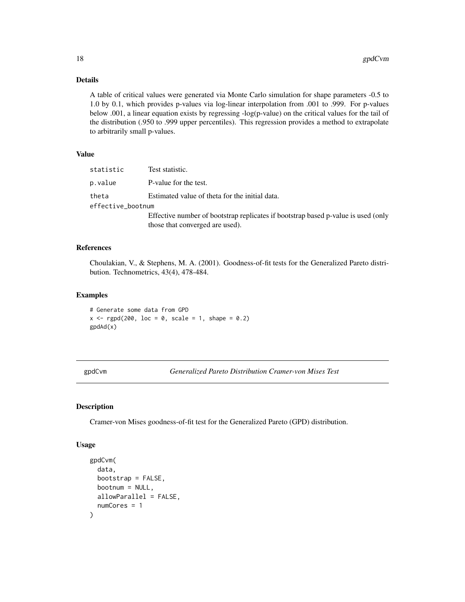# <span id="page-17-0"></span>Details

A table of critical values were generated via Monte Carlo simulation for shape parameters -0.5 to 1.0 by 0.1, which provides p-values via log-linear interpolation from .001 to .999. For p-values below .001, a linear equation exists by regressing -log(p-value) on the critical values for the tail of the distribution (.950 to .999 upper percentiles). This regression provides a method to extrapolate to arbitrarily small p-values.

# Value

| statistic         | Test statistic.                                                                   |
|-------------------|-----------------------------------------------------------------------------------|
| p.value           | P-value for the test.                                                             |
| theta             | Estimated value of theta for the initial data.                                    |
| effective_bootnum |                                                                                   |
|                   | Effective number of bootstrap replicates if bootstrap based p-value is used (only |
|                   | those that converged are used).                                                   |

# References

Choulakian, V., & Stephens, M. A. (2001). Goodness-of-fit tests for the Generalized Pareto distribution. Technometrics, 43(4), 478-484.

# Examples

```
# Generate some data from GPD
x \leq - rgpd(200, loc = 0, scale = 1, shape = 0.2)
gpdAd(x)
```
<span id="page-17-1"></span>gpdCvm *Generalized Pareto Distribution Cramer-von Mises Test*

# Description

Cramer-von Mises goodness-of-fit test for the Generalized Pareto (GPD) distribution.

```
gpdCvm(
  data,
  bootstrap = FALSE,
 bootnum = NULL,allowParallel = FALSE,
  numCores = 1
)
```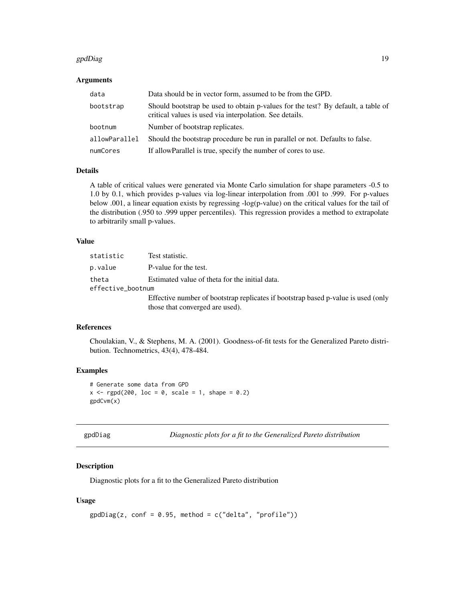#### <span id="page-18-0"></span>gpdDiag 19

# Arguments

| data          | Data should be in vector form, assumed to be from the GPD.                                                                                  |
|---------------|---------------------------------------------------------------------------------------------------------------------------------------------|
| bootstrap     | Should bootstrap be used to obtain p-values for the test? By default, a table of<br>critical values is used via interpolation. See details. |
| bootnum       | Number of bootstrap replicates.                                                                                                             |
| allowParallel | Should the bootstrap procedure be run in parallel or not. Defaults to false.                                                                |
| numCores      | If allowParallel is true, specify the number of cores to use.                                                                               |

# Details

A table of critical values were generated via Monte Carlo simulation for shape parameters -0.5 to 1.0 by 0.1, which provides p-values via log-linear interpolation from .001 to .999. For p-values below .001, a linear equation exists by regressing -log(p-value) on the critical values for the tail of the distribution (.950 to .999 upper percentiles). This regression provides a method to extrapolate to arbitrarily small p-values.

# Value

| statistic                  | Test statistic.                                                                                                      |
|----------------------------|----------------------------------------------------------------------------------------------------------------------|
| p.value                    | P-value for the test.                                                                                                |
| theta<br>effective_bootnum | Estimated value of theta for the initial data.                                                                       |
|                            | Effective number of bootstrap replicates if bootstrap based p-value is used (only<br>those that converged are used). |

# References

Choulakian, V., & Stephens, M. A. (2001). Goodness-of-fit tests for the Generalized Pareto distribution. Technometrics, 43(4), 478-484.

# Examples

```
# Generate some data from GPD
x \leq - rgpd(200, loc = 0, scale = 1, shape = 0.2)
gpdCvm(x)
```
<span id="page-18-1"></span>

|  | gpdDiag |
|--|---------|
|  |         |

```
gpdDiag Diagnostic plots for a fit to the Generalized Pareto distribution
```
# Description

Diagnostic plots for a fit to the Generalized Pareto distribution

```
gpdDiag(z, conf = 0.95, method = c("delta", "profile"))
```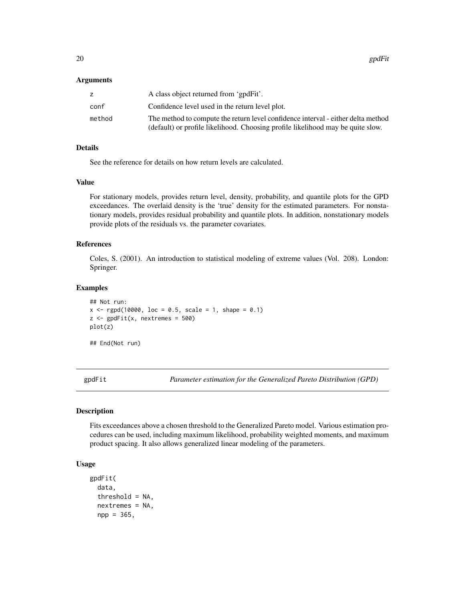#### <span id="page-19-0"></span>**Arguments**

|        | A class object returned from 'gpdFit'.                                                                                                                              |
|--------|---------------------------------------------------------------------------------------------------------------------------------------------------------------------|
| conf   | Confidence level used in the return level plot.                                                                                                                     |
| method | The method to compute the return level confidence interval - either delta method<br>(default) or profile likelihood. Choosing profile likelihood may be quite slow. |

#### Details

See the reference for details on how return levels are calculated.

#### Value

For stationary models, provides return level, density, probability, and quantile plots for the GPD exceedances. The overlaid density is the 'true' density for the estimated parameters. For nonstationary models, provides residual probability and quantile plots. In addition, nonstationary models provide plots of the residuals vs. the parameter covariates.

# References

Coles, S. (2001). An introduction to statistical modeling of extreme values (Vol. 208). London: Springer.

# Examples

```
## Not run:
x \le rgpd(10000, loc = 0.5, scale = 1, shape = 0.1)
z \le gpdFit(x, nextremes = 500)
plot(z)
## End(Not run)
```
<span id="page-19-1"></span>gpdFit *Parameter estimation for the Generalized Pareto Distribution (GPD)*

#### Description

Fits exceedances above a chosen threshold to the Generalized Pareto model. Various estimation procedures can be used, including maximum likelihood, probability weighted moments, and maximum product spacing. It also allows generalized linear modeling of the parameters.

```
gpdFit(
  data,
  threshold = NA,
  nextremes = NA,
  npp = 365,
```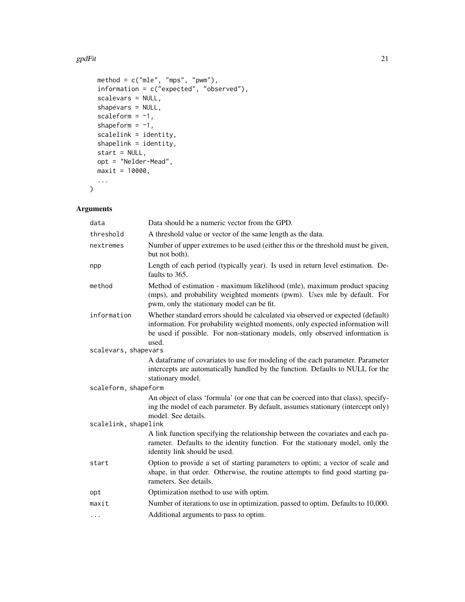#### gpdFit 21

```
method = c("mle", "mps", "pwm"),
 information = c("expected", "observed"),
 scalevars = NULL,
 shapevars = NULL,
  scaleform = -1,
 shapeform = ~1,
 scalelink = identity,
 shapelink = identity,
 start = NULL,
 opt = "Nelder-Mead",
 maxit = 10000,...
\mathcal{L}
```

| data                 | Data should be a numeric vector from the GPD.                                                                                                                                                                                                             |  |
|----------------------|-----------------------------------------------------------------------------------------------------------------------------------------------------------------------------------------------------------------------------------------------------------|--|
| threshold            | A threshold value or vector of the same length as the data.                                                                                                                                                                                               |  |
| nextremes            | Number of upper extremes to be used (either this or the threshold must be given,<br>but not both).                                                                                                                                                        |  |
| npp                  | Length of each period (typically year). Is used in return level estimation. De-<br>faults to 365.                                                                                                                                                         |  |
| method               | Method of estimation - maximum likelihood (mle), maximum product spacing<br>(mps), and probability weighted moments (pwm). Uses mle by default. For<br>pwm, only the stationary model can be fit.                                                         |  |
| information          | Whether standard errors should be calculated via observed or expected (default)<br>information. For probability weighted moments, only expected information will<br>be used if possible. For non-stationary models, only observed information is<br>used. |  |
| scalevars, shapevars |                                                                                                                                                                                                                                                           |  |
|                      | A dataframe of covariates to use for modeling of the each parameter. Parameter<br>intercepts are automatically handled by the function. Defaults to NULL for the<br>stationary model.                                                                     |  |
| scaleform, shapeform |                                                                                                                                                                                                                                                           |  |
|                      | An object of class 'formula' (or one that can be coerced into that class), specify-<br>ing the model of each parameter. By default, assumes stationary (intercept only)<br>model. See details.                                                            |  |
| scalelink, shapelink |                                                                                                                                                                                                                                                           |  |
|                      | A link function specifying the relationship between the covariates and each pa-<br>rameter. Defaults to the identity function. For the stationary model, only the<br>identity link should be used.                                                        |  |
| start                | Option to provide a set of starting parameters to optim; a vector of scale and<br>shape, in that order. Otherwise, the routine attempts to find good starting pa-<br>rameters. See details.                                                               |  |
| opt                  | Optimization method to use with optim.                                                                                                                                                                                                                    |  |
| maxit                | Number of iterations to use in optimization, passed to optim. Defaults to 10,000.                                                                                                                                                                         |  |
| $\cdots$             | Additional arguments to pass to optim.                                                                                                                                                                                                                    |  |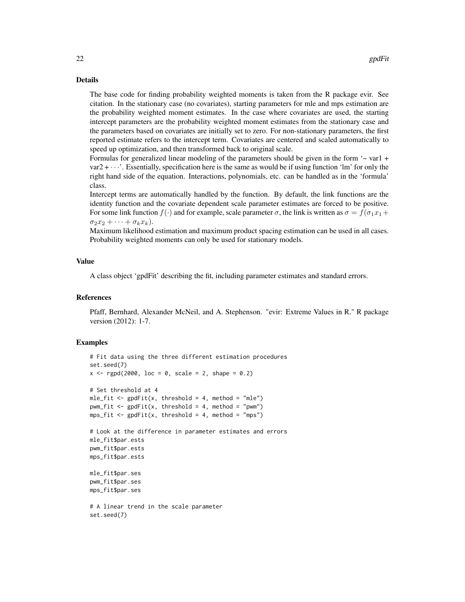# Details

The base code for finding probability weighted moments is taken from the R package evir. See citation. In the stationary case (no covariates), starting parameters for mle and mps estimation are the probability weighted moment estimates. In the case where covariates are used, the starting intercept parameters are the probability weighted moment estimates from the stationary case and the parameters based on covariates are initially set to zero. For non-stationary parameters, the first reported estimate refers to the intercept term. Covariates are centered and scaled automatically to speed up optimization, and then transformed back to original scale.

Formulas for generalized linear modeling of the parameters should be given in the form  $\sim$  var1 +  $var2 + \cdots$ . Essentially, specification here is the same as would be if using function 'lm' for only the right hand side of the equation. Interactions, polynomials, etc. can be handled as in the 'formula' class.

Intercept terms are automatically handled by the function. By default, the link functions are the identity function and the covariate dependent scale parameter estimates are forced to be positive. For some link function  $f(\cdot)$  and for example, scale parameter  $\sigma$ , the link is written as  $\sigma = f(\sigma_1x_1 + \sigma_2x_2)$  $\sigma_2 x_2 + \cdots + \sigma_k x_k$ ).

Maximum likelihood estimation and maximum product spacing estimation can be used in all cases. Probability weighted moments can only be used for stationary models.

#### Value

A class object 'gpdFit' describing the fit, including parameter estimates and standard errors.

# References

Pfaff, Bernhard, Alexander McNeil, and A. Stephenson. "evir: Extreme Values in R." R package version (2012): 1-7.

```
# Fit data using the three different estimation procedures
set.seed(7)
x \leq - rgpd(2000, loc = 0, scale = 2, shape = 0.2)
# Set threshold at 4
mle\_fit \le - gpdFit(x, threshold = 4, method = "mle")
pwm_fit <- gpdFit(x, threshold = 4, method = "pwm")
mps\_fit \leq-gpdfit(x, threshold = 4, method = "mps")# Look at the difference in parameter estimates and errors
mle_fit$par.ests
pwm_fit$par.ests
mps_fit$par.ests
mle_fit$par.ses
pwm_fit$par.ses
mps_fit$par.ses
# A linear trend in the scale parameter
set.seed(7)
```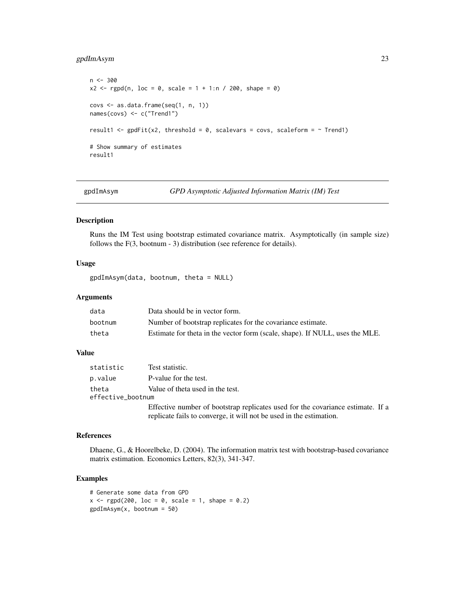# <span id="page-22-0"></span>gpdImAsym 23

```
n < -300x2 \le rgpd(n, loc = 0, scale = 1 + 1:n / 200, shape = 0)
covs \leftarrow as.data-frame(seq(1, n, 1))names(covs) <- c("Trend1")
result1 <- gpdfit(x2, threshold = 0, scalevars = cows, scaleform = ~ Trend1)# Show summary of estimates
result1
```
<span id="page-22-1"></span>gpdImAsym *GPD Asymptotic Adjusted Information Matrix (IM) Test*

# Description

Runs the IM Test using bootstrap estimated covariance matrix. Asymptotically (in sample size) follows the F(3, bootnum - 3) distribution (see reference for details).

# Usage

gpdImAsym(data, bootnum, theta = NULL)

# Arguments

| data    | Data should be in vector form.                                               |
|---------|------------------------------------------------------------------------------|
| bootnum | Number of bootstrap replicates for the covariance estimate.                  |
| theta   | Estimate for theta in the vector form (scale, shape). If NULL, uses the MLE. |

# Value

| statistic                  | Test statistic.                                                                                                                                        |
|----------------------------|--------------------------------------------------------------------------------------------------------------------------------------------------------|
| p.value                    | P-value for the test.                                                                                                                                  |
| theta<br>effective_bootnum | Value of theta used in the test.                                                                                                                       |
|                            | Effective number of bootstrap replicates used for the covariance estimate. If a<br>replicate fails to converge, it will not be used in the estimation. |

# References

Dhaene, G., & Hoorelbeke, D. (2004). The information matrix test with bootstrap-based covariance matrix estimation. Economics Letters, 82(3), 341-347.

```
# Generate some data from GPD
x \leq - rgpd(200, loc = 0, scale = 1, shape = 0.2)
gpdImAsym(x, bootnum = 50)
```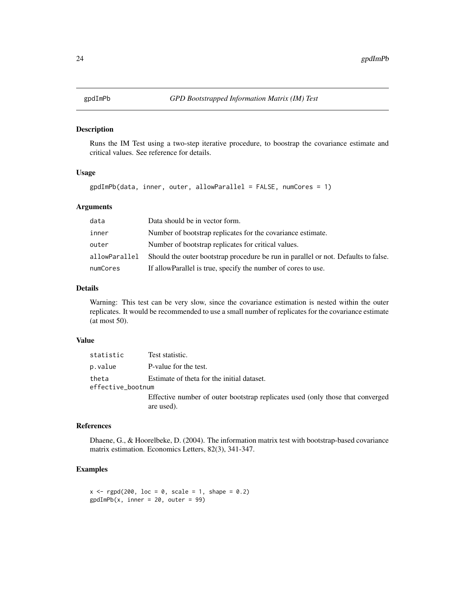<span id="page-23-1"></span><span id="page-23-0"></span>

# Description

Runs the IM Test using a two-step iterative procedure, to boostrap the covariance estimate and critical values. See reference for details.

# Usage

gpdImPb(data, inner, outer, allowParallel = FALSE, numCores = 1)

# Arguments

| data          | Data should be in vector form.                                                     |
|---------------|------------------------------------------------------------------------------------|
| inner         | Number of bootstrap replicates for the covariance estimate.                        |
| outer         | Number of bootstrap replicates for critical values.                                |
| allowParallel | Should the outer bootstrap procedure be run in parallel or not. Defaults to false. |
| numCores      | If allow Parallel is true, specify the number of cores to use.                     |

# Details

Warning: This test can be very slow, since the covariance estimation is nested within the outer replicates. It would be recommended to use a small number of replicates for the covariance estimate (at most 50).

#### Value

| statistic         | Test statistic.                                                                |
|-------------------|--------------------------------------------------------------------------------|
| p.value           | P-value for the test.                                                          |
| theta             | Estimate of theta for the initial dataset.                                     |
| effective_bootnum |                                                                                |
|                   | Effective number of outer bootstrap replicates used (only those that converged |
|                   | are used).                                                                     |

# References

Dhaene, G., & Hoorelbeke, D. (2004). The information matrix test with bootstrap-based covariance matrix estimation. Economics Letters, 82(3), 341-347.

```
x \leq - rgpd(200, loc = 0, scale = 1, shape = 0.2)
\text{gpdImPb}(x, \text{ inner} = 20, \text{ outer} = 99)
```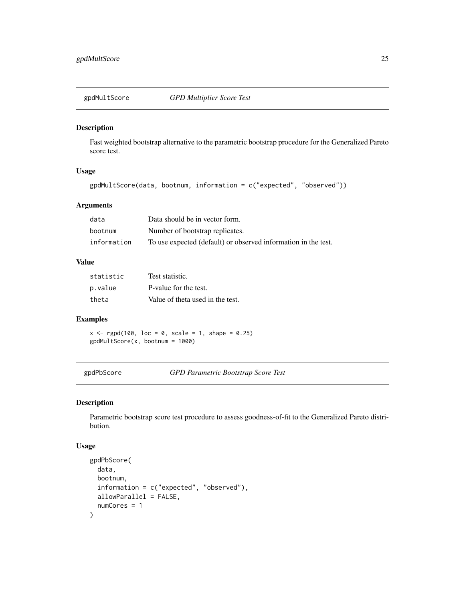<span id="page-24-2"></span><span id="page-24-0"></span>

# Description

Fast weighted bootstrap alternative to the parametric bootstrap procedure for the Generalized Pareto score test.

# Usage

```
gpdMultScore(data, bootnum, information = c("expected", "observed"))
```
# Arguments

| data        | Data should be in vector form.                                 |
|-------------|----------------------------------------------------------------|
| bootnum     | Number of bootstrap replicates.                                |
| information | To use expected (default) or observed information in the test. |

# Value

| statistic | Test statistic.                  |
|-----------|----------------------------------|
| p.value   | P-value for the test.            |
| theta     | Value of theta used in the test. |

# Examples

 $x \le$  rgpd(100, loc = 0, scale = 1, shape = 0.25) gpdMultScore(x, bootnum = 1000)

<span id="page-24-1"></span>gpdPbScore *GPD Parametric Bootstrap Score Test*

# Description

Parametric bootstrap score test procedure to assess goodness-of-fit to the Generalized Pareto distribution.

```
gpdPbScore(
  data,
 bootnum,
  information = c("expected", "observed"),
 allowParallel = FALSE,
  numCores = 1
)
```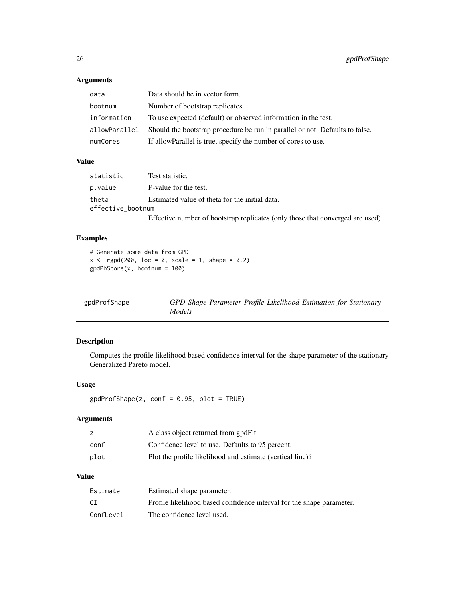# Arguments

| data          | Data should be in vector form.                                               |
|---------------|------------------------------------------------------------------------------|
| bootnum       | Number of bootstrap replicates.                                              |
| information   | To use expected (default) or observed information in the test.               |
| allowParallel | Should the bootstrap procedure be run in parallel or not. Defaults to false. |
| numCores      | If allow Parallel is true, specify the number of cores to use.               |

# Value

| statistic         | Test statistic.                                                                |  |
|-------------------|--------------------------------------------------------------------------------|--|
| p.value           | P-value for the test.                                                          |  |
| theta             | Estimated value of theta for the initial data.                                 |  |
| effective bootnum |                                                                                |  |
|                   | Effective number of bootstrap replicates (only those that converged are used). |  |

# Examples

```
# Generate some data from GPD
x \leq - rgpd(200, loc = 0, scale = 1, shape = 0.2)
gpdPbScore(x, bootnum = 100)
```
<span id="page-25-1"></span>

| gpdProfShape | GPD Shape Parameter Profile Likelihood Estimation for Stationary |  |
|--------------|------------------------------------------------------------------|--|
|              | Models                                                           |  |

# Description

Computes the profile likelihood based confidence interval for the shape parameter of the stationary Generalized Pareto model.

# Usage

 $gpdProfShape(z, conf = 0.95, plot = TRUE)$ 

# Arguments

|      | A class object returned from gpdFit.                      |
|------|-----------------------------------------------------------|
| conf | Confidence level to use. Defaults to 95 percent.          |
| plot | Plot the profile likelihood and estimate (vertical line)? |

# Value

| Estimate  | Estimated shape parameter.                                            |
|-----------|-----------------------------------------------------------------------|
| CI        | Profile likelihood based confidence interval for the shape parameter. |
| ConfLevel | The confidence level used.                                            |

<span id="page-25-0"></span>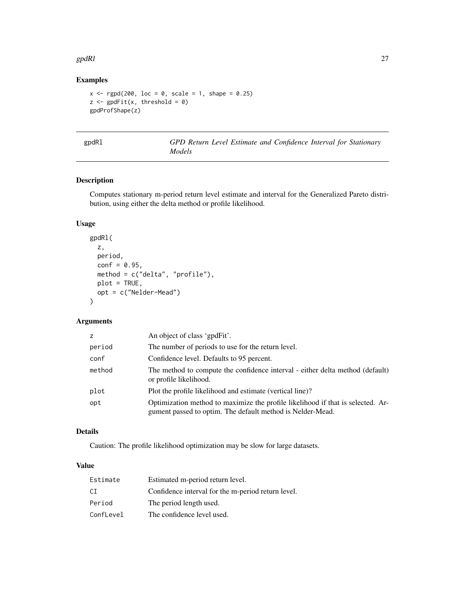#### <span id="page-26-0"></span>gpdRl 27 barr 200 and 200 and 200 and 200 and 200 and 200 and 200 and 200 and 200 and 200 and 200 and 200 and

# Examples

```
x \leq - rgpd(200, loc = 0, scale = 1, shape = 0.25)
z \leftarrow gpdFit(x, threshold = 0)
gpdProfShape(z)
```
<span id="page-26-1"></span>

1 GPD Return Level Estimate and Confidence Interval for Stationary *Models*

# Description

Computes stationary m-period return level estimate and interval for the Generalized Pareto distribution, using either the delta method or profile likelihood.

# Usage

```
gpdRl(
  z,
  period,
  conf = 0.95,method = c("delta", "profile"),
  plot = TRUE,
  opt = c("Nelder-Mead")
\mathcal{L}
```
# Arguments

| Z.     | An object of class 'gpdFit'.                                                                                                                  |
|--------|-----------------------------------------------------------------------------------------------------------------------------------------------|
| period | The number of periods to use for the return level.                                                                                            |
| conf   | Confidence level. Defaults to 95 percent.                                                                                                     |
| method | The method to compute the confidence interval - either delta method (default)<br>or profile likelihood.                                       |
| plot   | Plot the profile likelihood and estimate (vertical line)?                                                                                     |
| opt    | Optimization method to maximize the profile likelihood if that is selected. Ar-<br>gument passed to optim. The default method is Nelder-Mead. |

# Details

Caution: The profile likelihood optimization may be slow for large datasets.

# Value

| Estimate  | Estimated m-period return level.                   |
|-----------|----------------------------------------------------|
| СI        | Confidence interval for the m-period return level. |
| Period    | The period length used.                            |
| ConfLevel | The confidence level used.                         |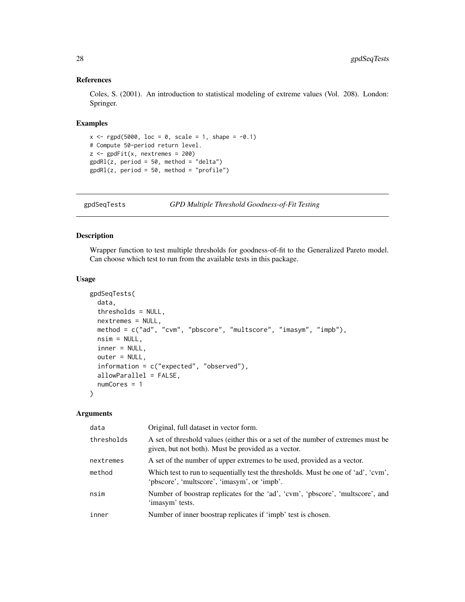# References

Coles, S. (2001). An introduction to statistical modeling of extreme values (Vol. 208). London: Springer.

#### Examples

```
x \leq - rgpd(5000, loc = 0, scale = 1, shape = -0.1)
# Compute 50-period return level.
z <- gpdFit(x, nextremes = 200)
gpdRl(z, period = 50, method = "delta")gpdRl(z, period = 50, method = "profile")
```
<span id="page-27-1"></span>gpdSeqTests *GPD Multiple Threshold Goodness-of-Fit Testing*

# Description

Wrapper function to test multiple thresholds for goodness-of-fit to the Generalized Pareto model. Can choose which test to run from the available tests in this package.

#### Usage

```
gpdSeqTests(
  data,
  thresholds = NULL,
  nextremes = NULL,
  method = c("ad", "cvm", "pbscore", "multscore", "imasym", "impb"),
  nsim = NULL,inner = NULL,
  outer = NULL,
  information = c("expected", "observed"),
  allowParallel = FALSE,
  numCores = 1
)
```

| data       | Original, full dataset in vector form.                                                                                                   |
|------------|------------------------------------------------------------------------------------------------------------------------------------------|
| thresholds | A set of threshold values (either this or a set of the number of extremes must be<br>given, but not both). Must be provided as a vector. |
| nextremes  | A set of the number of upper extremes to be used, provided as a vector.                                                                  |
| method     | Which test to run to sequentially test the thresholds. Must be one of 'ad', 'cvm',<br>'pbscore', 'multscore', 'imasym', or 'impb'.       |
| nsim       | Number of boostrap replicates for the 'ad', 'cvm', 'pbscore', 'multscore', and<br>'imasym' tests.                                        |
| inner      | Number of inner boostrap replicates if 'impb' test is chosen.                                                                            |

<span id="page-27-0"></span>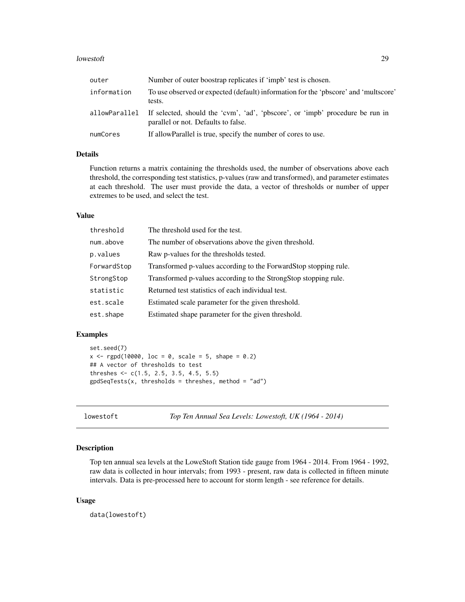#### <span id="page-28-0"></span>lowestoft 29

| outer       | Number of outer boostrap replicates if 'impb' test is chosen.                                                                      |
|-------------|------------------------------------------------------------------------------------------------------------------------------------|
| information | To use observed or expected (default) information for the 'pbscore' and 'multscore'<br>tests.                                      |
|             | allowParallel If selected, should the 'cvm', 'ad', 'pbscore', or 'impb' procedure be run in<br>parallel or not. Defaults to false. |
| numCores    | If allow Parallel is true, specify the number of cores to use.                                                                     |

# Details

Function returns a matrix containing the thresholds used, the number of observations above each threshold, the corresponding test statistics, p-values (raw and transformed), and parameter estimates at each threshold. The user must provide the data, a vector of thresholds or number of upper extremes to be used, and select the test.

# Value

| threshold   | The threshold used for the test.                                 |
|-------------|------------------------------------------------------------------|
| num.above   | The number of observations above the given threshold.            |
| p.values    | Raw p-values for the thresholds tested.                          |
| ForwardStop | Transformed p-values according to the ForwardStop stopping rule. |
| StrongStop  | Transformed p-values according to the StrongStop stopping rule.  |
| statistic   | Returned test statistics of each individual test.                |
| est.scale   | Estimated scale parameter for the given threshold.               |
| est.shape   | Estimated shape parameter for the given threshold.               |

# Examples

```
set.seed(7)
x \leq rgpd(10000, loc = 0, scale = 5, shape = 0.2)
## A vector of thresholds to test
threshes <- c(1.5, 2.5, 3.5, 4.5, 5.5)
ggdSeqTests(x, thresholds = thresholds, method = "ad")
```
<span id="page-28-1"></span>lowestoft *Top Ten Annual Sea Levels: Lowestoft, UK (1964 - 2014)*

# Description

Top ten annual sea levels at the LoweStoft Station tide gauge from 1964 - 2014. From 1964 - 1992, raw data is collected in hour intervals; from 1993 - present, raw data is collected in fifteen minute intervals. Data is pre-processed here to account for storm length - see reference for details.

#### Usage

data(lowestoft)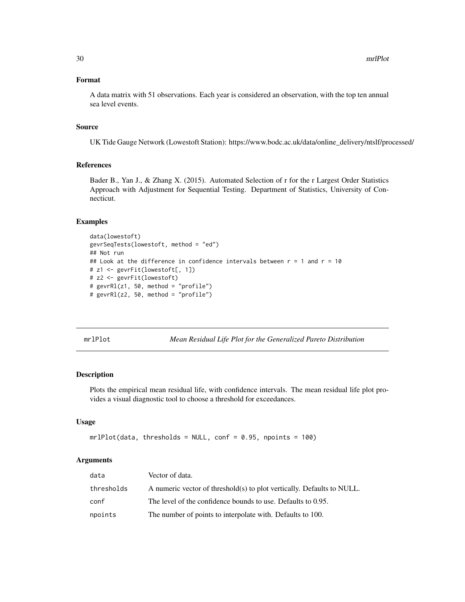# <span id="page-29-0"></span>Format

A data matrix with 51 observations. Each year is considered an observation, with the top ten annual sea level events.

# Source

UK Tide Gauge Network (Lowestoft Station): https://www.bodc.ac.uk/data/online\_delivery/ntslf/processed/

# References

Bader B., Yan J., & Zhang X. (2015). Automated Selection of r for the r Largest Order Statistics Approach with Adjustment for Sequential Testing. Department of Statistics, University of Connecticut.

# Examples

```
data(lowestoft)
gevrSeqTests(lowestoft, method = "ed")
## Not run
## Look at the difference in confidence intervals between r = 1 and r = 10# z1 <- gevrFit(lowestoft[, 1])
# z2 <- gevrFit(lowestoft)
# gevrRl(z1, 50, method = "profile")
# gevrRl(z2, 50, method = "profile")
```
<span id="page-29-1"></span>mrlPlot *Mean Residual Life Plot for the Generalized Pareto Distribution*

#### Description

Plots the empirical mean residual life, with confidence intervals. The mean residual life plot provides a visual diagnostic tool to choose a threshold for exceedances.

# Usage

```
mrlPlot(data, thresholds = NULL, conf = 0.95, npoints = 100)
```

| data       | Vector of data.                                                        |
|------------|------------------------------------------------------------------------|
| thresholds | A numeric vector of threshold(s) to plot vertically. Defaults to NULL. |
| conf       | The level of the confidence bounds to use. Defaults to 0.95.           |
| npoints    | The number of points to interpolate with. Defaults to 100.             |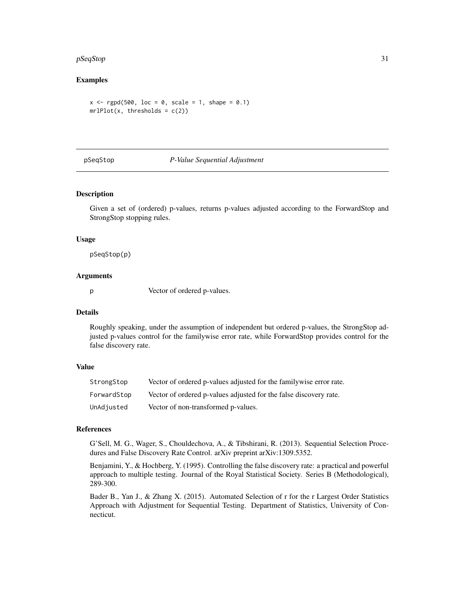#### <span id="page-30-0"></span>pSeqStop 31

# Examples

```
x \leq - rgpd(500, loc = 0, scale = 1, shape = 0.1)
mrllPlot(x, thresholds = c(2))
```
<span id="page-30-1"></span>

#### pSeqStop *P-Value Sequential Adjustment*

# Description

Given a set of (ordered) p-values, returns p-values adjusted according to the ForwardStop and StrongStop stopping rules.

#### Usage

pSeqStop(p)

# Arguments

p Vector of ordered p-values.

#### Details

Roughly speaking, under the assumption of independent but ordered p-values, the StrongStop adjusted p-values control for the familywise error rate, while ForwardStop provides control for the false discovery rate.

# Value

| StrongStop  | Vector of ordered p-values adjusted for the familywise error rate. |
|-------------|--------------------------------------------------------------------|
| ForwardStop | Vector of ordered p-values adjusted for the false discovery rate.  |
| UnAdjusted  | Vector of non-transformed p-values.                                |

#### References

G'Sell, M. G., Wager, S., Chouldechova, A., & Tibshirani, R. (2013). Sequential Selection Procedures and False Discovery Rate Control. arXiv preprint arXiv:1309.5352.

Benjamini, Y., & Hochberg, Y. (1995). Controlling the false discovery rate: a practical and powerful approach to multiple testing. Journal of the Royal Statistical Society. Series B (Methodological), 289-300.

Bader B., Yan J., & Zhang X. (2015). Automated Selection of r for the r Largest Order Statistics Approach with Adjustment for Sequential Testing. Department of Statistics, University of Connecticut.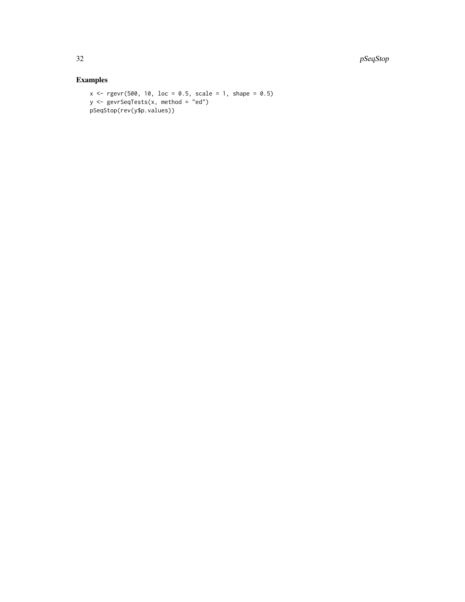32 pSeqStop and the set of the set of the set of the set of the set of the set of the set of the set of the set of the set of the set of the set of the set of the set of the set of the set of the set of the set of the set

```
x \leq rgevr(500, 10, loc = 0.5, scale = 1, shape = 0.5)
y \leq - gevrSeqTests(x, method = "ed")
pSeqStop(rev(y$p.values))
```